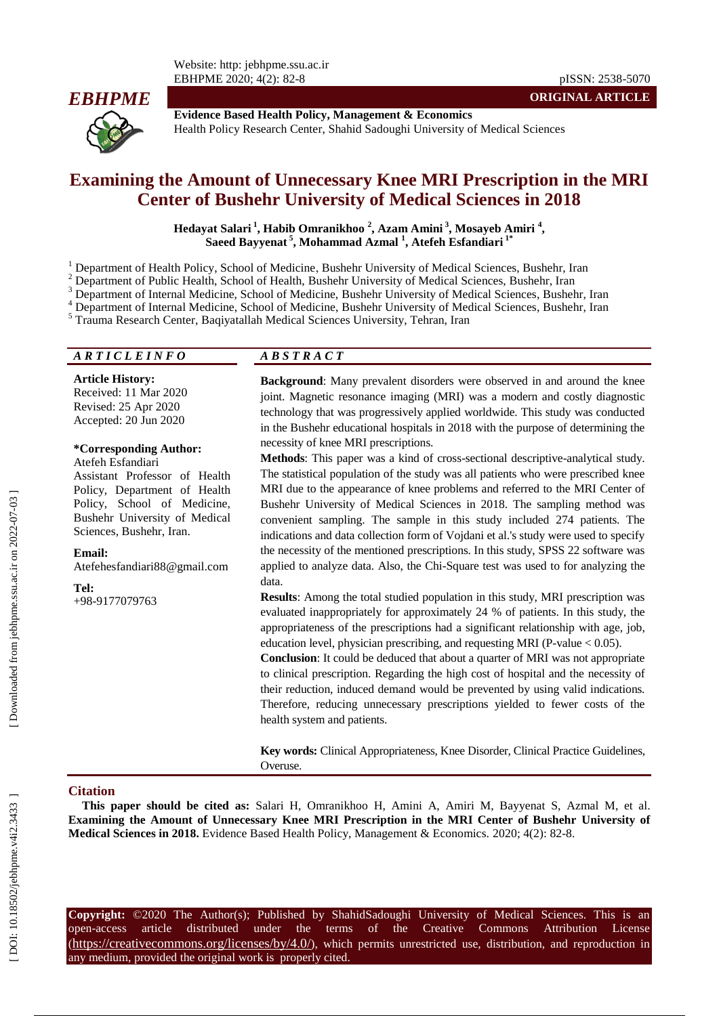

**Evidence Based Health Policy, Management & Economics** Health Policy Research Center, Shahid Sadoughi University of Medical Sciences

# **Examining the Amount of Unnecessary Knee MRI Prescription in the MRI Center of Bushehr University of Medical Sciences in 2018**

**Hedayat Salari 1 , Habib Omranikhoo 2 , Azam Amini 3 , Mosayeb Amiri 4 , Saeed Bayyenat 5 , Mohammad Azmal 1 , Atefeh Esfandiari 1 \***

 $\frac{1}{2}$  Department of Health Policy, School of Medicine, Bushehr University of Medical Sciences, Bushehr, Iran

 $\frac{3}{4}$  Department of Public Health, School of Health, Bushehr University of Medical Sciences, Bushehr, Iran  $\frac{3}{4}$  Department of Internal Medicine, School of Medicine, Bushehr University of Medical Sciences, Bushehr

#### *A R T I C L E I N F O A B S T R A C T*

**Article History:**

Received: 11 Mar 2020 Revised: 25 Apr 2020 Accepted: 20 Jun 2020

#### **\*Corresponding Author:** Atefeh Esfandiari

Assistant Professor of Health Policy, Department of Health Policy, School of Medicine, Bushehr University of Medical Sciences, Bushehr, Iran .

#### **Email:**

Atefehesfandiari88@gmail.com

**Tel:**

+98 -9177079763

**Background**: Many prevalent disorders were observed in and around the knee joint. Magnetic resonance imaging (MRI) was a modern and costly diagnostic technology that was progressively applied worldwide. This study was conducted in the Bushehr educational hospitals in 2018 with the purpose of determining the necessity of knee MRI prescriptions.

**ORIGINAL ARTICLE**

Methods: This paper was a kind of cross-sectional descriptive-analytical study. The statistical population of the study was all patients who were prescribed knee MRI due to the appearance of knee problems and referred to the MRI Center of Bushehr University of Medical Sciences in 2018. The sampling method was convenient sampling. The sample in this study included 274 patients. The indications and data collection form of Vojdani et al.'s study were used to specify the necessity of the mentioned prescriptions. In this study, SPSS 22 software was applied to analyze data. Also, the Chi -Square test was used to for analyzing the data.

**Results**: Among the total studied population in this study, MRI prescription was evaluated inappropriately for approximately 24 % of patients. In this study, the appropriateness of the prescriptions had a significant relationship with age, job, education level, physician prescribing, and requesting MRI (P-value < 0.05).

**Conclusion**: It could be deduced that about a quarter of MRI was not appropriate to clinical prescription. Regarding the high cost of hospital and the necessity of their reduction, induced demand would be prevented by using valid indications. Therefore, reducing unnecessary prescriptions yielded to fewer costs of the health system and patients.

**Key words:** Clinical Appropriateness, Knee Disorder, Clinical Practice Guidelines, Overuse.

#### **Citation**

**This paper should be cited as:** Salari H, Omranikhoo H, Amini A, Amiri M, Bayyenat S, Azmal M, et al. **Examining the Amount of Unnecessary Knee MRI Prescription in the MRI Center of Bushehr University of**  Medical Sciences in 2018. Evidence Based Health Policy, Management & Economics. 2020; 4(2): 82-8.

**Copyright:** ©2020 The Author(s); Published by ShahidSadoughi University of Medical Sciences. This is an open-access -access article distributed under the terms of the Creative Commons Attribution License (https://creativecommons.org/licenses/by/4.0/), which permits unrestricted use, distribution, and reproduction in any medium, provided the original work is properly cited.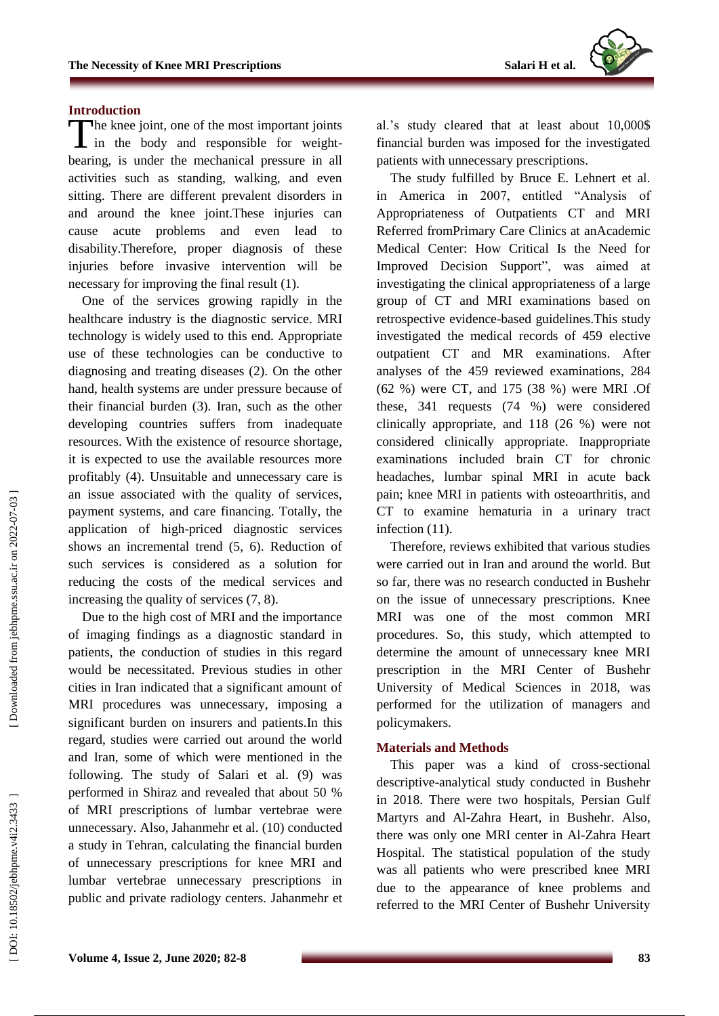

## **Introduction**

The knee joint, one of the most important joints<br>in the body and responsible for weightin the body and responsible for weight bearing, is under the mechanical pressure in all activities such as standing, walking, and even sitting. There are different prevalent disorders in and around the knee joint.These injuries can cause acute problems and even lead to disability.Therefore, proper diagnosis of these injuries before invasive intervention will be necessary for improving the final result (1).

One of the services growing rapidly in the healthcare industry is the diagnostic service. MRI technology is widely used to this end. Appropriate use of these technologies can be conductive to diagnosing and treating diseases (2). On the other hand, health systems are under pressure because of their financial burden (3). Iran, such as the other developing countries suffers from inadequate resources. With the existence of resource shortage, it is expected to use the available resources more profitably (4). Unsuitable and unnecessary care is an issue associated with the quality of services, payment systems, and care financing. Totally, the application of high -priced diagnostic services shows an incremental trend (5, 6). Reduction of such services is considered as a solution for reducing the costs of the medical services and increasing the quality of services (7, 8).

Due to the high cost of MRI and the importance of imaging findings as a diagnostic standard in patients, the conduction of studies in this regard would be necessitated. Previous studies in other cities in Iran indicated that a significant amount of MRI procedures was unnecessary, imposing a significant burden on insurers and patients.In this regard, studies were carried out around the world and Iran, some of which were mentioned in the following. The study of Salari et al. (9) was performed in Shiraz and revealed that about 50 % of MRI prescriptions of lumbar vertebrae were unnecessary. Also, Jahanmehr et al. (10) conducted a study in Tehran, calculating the financial burden of unnecessary prescriptions for knee MRI and lumbar vertebrae unnecessary prescriptions in public and private radiology centers. Jahanmehr et al.'s study cleared that at least about 10,000\$ financial burden was imposed for the investigated patients with unnecessary prescriptions.

The study fulfilled by Bruce E. Lehnert et al. in America in 2007, entitled "Analysis of Appropriateness of Outpatients CT and MRI Referred fromPrimary Care Clinics at anAcademic Medical Center: How Critical Is the Need for Improved Decision Support", was aimed at investigating the clinical appropriateness of a large group of CT and MRI examinations based on retrospective evidence -based guidelines.This study investigated the medical records of 459 elective outpatient CT and MR examinations. After analyses of the 459 reviewed examinations, 284 (62 %) were CT, and 175 (38 %) were MRI .Of these, 341 requests (74 %) were considered clinically appropriate, and 118 (26 %) were not considered clinically appropriate. Inappropriate examinations included brain CT for chronic headaches, lumbar spinal MRI in acute back pain; knee MRI in patients with osteoarthritis, and CT to examine hematuria in a urinary tract infection  $(11)$ .

Therefore, reviews exhibited that various studies were carried out in Iran and around the world. But so far, there was no research conducted in Bushehr on the issue of unnecessary prescriptions. Knee MRI was one of the most common MRI procedures. So, this study, which attempted to determine the amount of unnecessary knee MRI prescription in the MRI Center of Bushehr University of Medical Sciences in 2018, was performed for the utilization of managers and policymakers.

## **Materials and Methods**

This paper was a kind of cross -sectional descriptive -analytical study conducted in Bushehr in 2018. There were two hospitals, Persian Gulf Martyrs and Al -Zahra Heart, in Bushehr. Also, there was only one MRI center in Al -Zahra Heart Hospital. The statistical population of the study was all patients who were prescribed knee MRI due to the appearance of knee problems and referred to the MRI Center of Bushehr University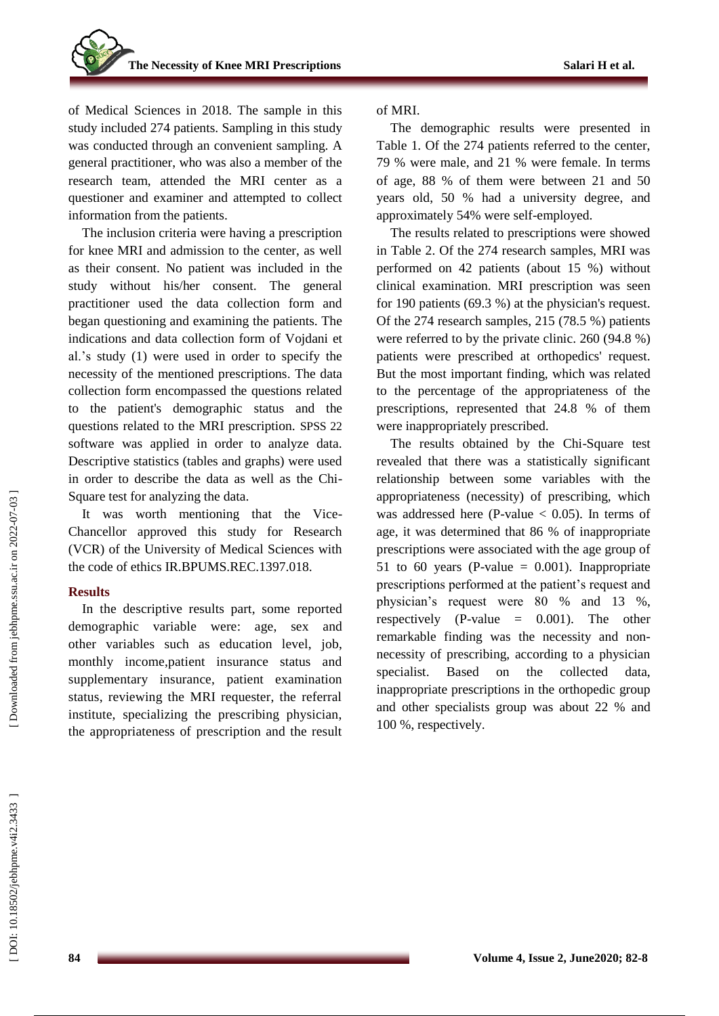of Medical Sciences in 2018. The sample in this study included 274 patients. Sampling in this study was conducted through an convenient sampling. A general practitioner, who was also a member of the research team, attended the MRI center as a questioner and examiner and attempted to collect information from the patients.

The inclusion criteria were having a prescription for knee MRI and admission to the center, as well as their consent. No patient was included in the study without his/her consent. The general practitioner used the data collection form and began questioning and examining the patients. The indications and data collection form of Vojdani et al.'s study (1) were used in order to specify the necessity of the mentioned prescriptions. The data collection form encompassed the questions related to the patient's demographic status and the questions related to the MRI prescription. SPSS 22 software was applied in order to analyze data. Descriptive statistics (tables and graphs) were used in order to describe the data as well as the Chi - Square test for analyzing the data.

It was worth mentioning that the Vice - Chancellor approved this study for Research (VCR) of the University of Medical Sciences with the code of ethics IR.BPUMS.REC.1397.018.

## **Results**

In the descriptive results part, some reported demographic variable were: age, sex and other variables such as education level, job, monthly income,patient insurance status and supplementary insurance, patient examination status, reviewing the MRI requester, the referral institute, specializing the prescribing physician, the appropriateness of prescription and the result

#### of MRI.

The demographic results were presented in Table 1. Of the 274 patients referred to the center, 79 % were male, and 21 % were female. In terms of age, 88 % of them were between 21 and 50 years old, 50 % had a university degree, and approximately 54% were self -employed.

The results related to prescriptions were showed in Table 2. Of the 274 research samples, MRI was performed on 42 patients (about 15 %) without clinical examination. MRI prescription was seen for 190 patients (69.3 %) at the physician's request. Of the 274 research samples, 215 (78.5 %) patients were referred to by the private clinic. 260 (94.8 %) patients were prescribed at orthopedics' request. But the most important finding, which was related to the percentage of the appropriateness of the prescriptions, represented that 24.8 % of them were inappropriately prescribed.

The results obtained by the Chi -Square test revealed that there was a statistically significant relationship between some variables with the appropriateness (necessity) of prescribing, which was addressed here (P-value  $< 0.05$ ). In terms of age, it was determined that 86 % of inappropriate prescriptions were associated with the age group of 51 to 60 years (P-value  $= 0.001$ ). Inappropriate prescriptions performed at the patient's request and physician's request were 80 % and 13 %, respectively (P -value = 0.001). The other remarkable finding was the necessity and non necessity of prescribing, according to a physician specialist. Based on the collected data, inappropriate prescriptions in the orthopedic group and other specialists group was about 22 % and 100 %, respectively.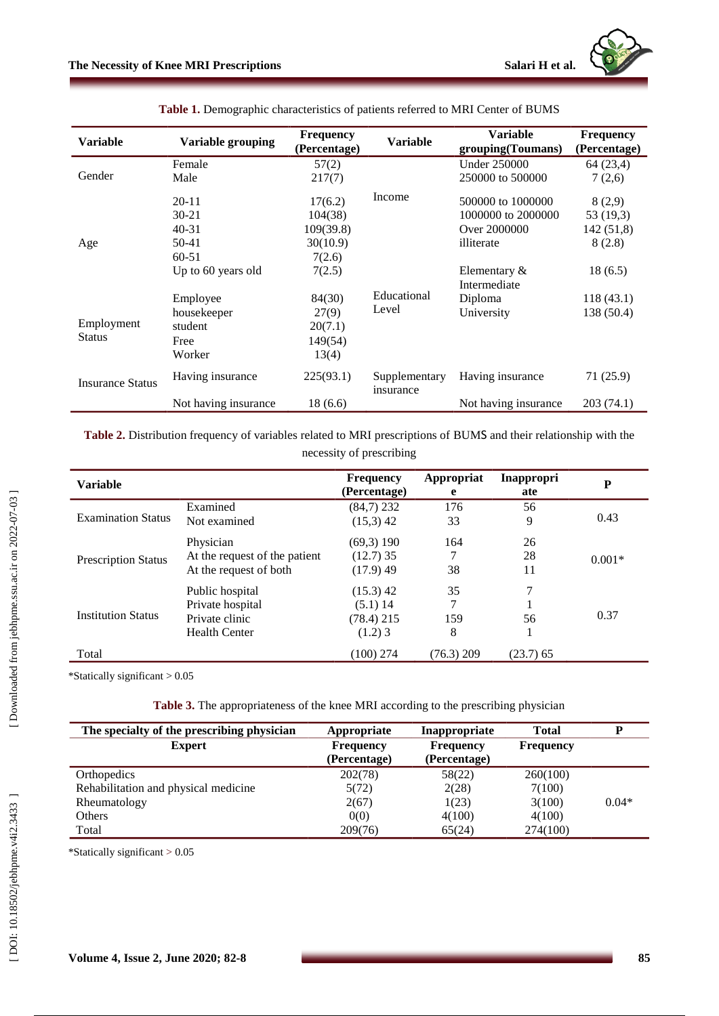| <b>Variable</b>             | Variable grouping                                                               | Frequency<br>(Percentage)                                       | <b>Variable</b>            | <b>Variable</b><br>grouping(Toumans)                                                                     | <b>Frequency</b><br>(Percentage)                      |
|-----------------------------|---------------------------------------------------------------------------------|-----------------------------------------------------------------|----------------------------|----------------------------------------------------------------------------------------------------------|-------------------------------------------------------|
|                             | Female                                                                          | 57(2)                                                           |                            | <b>Under 250000</b>                                                                                      | 64 (23,4)                                             |
| Gender                      | Male                                                                            | 217(7)                                                          |                            | 250000 to 500000                                                                                         | 7(2,6)                                                |
| Age                         | $20 - 11$<br>$30 - 21$<br>$40 - 31$<br>50-41<br>$60 - 51$<br>Up to 60 years old | 17(6.2)<br>104(38)<br>109(39.8)<br>30(10.9)<br>7(2.6)<br>7(2.5) | Income                     | 500000 to 1000000<br>1000000 to 2000000<br>Over 2000000<br>illiterate<br>Elementary $\&$<br>Intermediate | 8(2,9)<br>53 (19,3)<br>142(51,8)<br>8(2.8)<br>18(6.5) |
| Employment<br><b>Status</b> | Employee<br>housekeeper<br>student<br>Free<br>Worker                            | 84(30)<br>27(9)<br>20(7.1)<br>149(54)<br>13(4)                  | Educational<br>Level       | Diploma<br>University                                                                                    | 118(43.1)<br>138 (50.4)                               |
| <b>Insurance Status</b>     | Having insurance                                                                | 225(93.1)                                                       | Supplementary<br>insurance | Having insurance                                                                                         | 71(25.9)                                              |
|                             | Not having insurance                                                            | 18(6.6)                                                         |                            | Not having insurance                                                                                     | 203(74.1)                                             |

**Table 1.** Demographic characteristics of patients referred to MRI Center of BUMS

**Table 2 .** Distribution frequency of variables related to MRI prescriptions of BUM S and their relationship with the necessity of prescribing

| <b>Variable</b>            |                               | <b>Frequency</b><br>(Percentage) | Appropriat<br>e | <b>Inappropri</b><br>ate | P        |  |
|----------------------------|-------------------------------|----------------------------------|-----------------|--------------------------|----------|--|
| <b>Examination Status</b>  | Examined                      | $(84,7)$ 232                     | 176             | 56                       | 0.43     |  |
|                            | Not examined                  | $(15,3)$ 42                      | 33              | 9                        |          |  |
| <b>Prescription Status</b> | Physician                     | $(69,3)$ 190                     | 164             | 26                       | $0.001*$ |  |
|                            | At the request of the patient | $(12.7)$ 35                      |                 | 28                       |          |  |
|                            | At the request of both        | $(17.9)$ 49                      | 38              | 11                       |          |  |
| <b>Institution Status</b>  | Public hospital               | $(15.3)$ 42                      | 35              | 7                        |          |  |
|                            | Private hospital              | $(5.1)$ 14                       | 7               |                          |          |  |
|                            | Private clinic                | $(78.4)$ 215                     | 159             | 56                       | 0.37     |  |
|                            | <b>Health Center</b>          | $(1.2)$ 3                        | 8               |                          |          |  |
| Total                      |                               | $(100)$ 274                      | $(76.3)$ 209    | $(23.7)$ 65              |          |  |

\*Statically significant > 0.05

| The specialty of the prescribing physician | Appropriate      | Inappropriate    | <b>Total</b>     | D       |
|--------------------------------------------|------------------|------------------|------------------|---------|
| <b>Expert</b>                              | <b>Frequency</b> | <b>Frequency</b> | <b>Frequency</b> |         |
|                                            | (Percentage)     | (Percentage)     |                  |         |
| Orthopedics                                | 202(78)          | 58(22)           | 260(100)         |         |
| Rehabilitation and physical medicine       | 5(72)            | 2(28)            | 7(100)           |         |
| Rheumatology                               | 2(67)            | 1(23)            | 3(100)           | $0.04*$ |
| Others                                     | 0(0)             | 4(100)           | 4(100)           |         |
| Total                                      | 209(76)          | 65(24)           | 274(100)         |         |

\*Statically significant > 0.05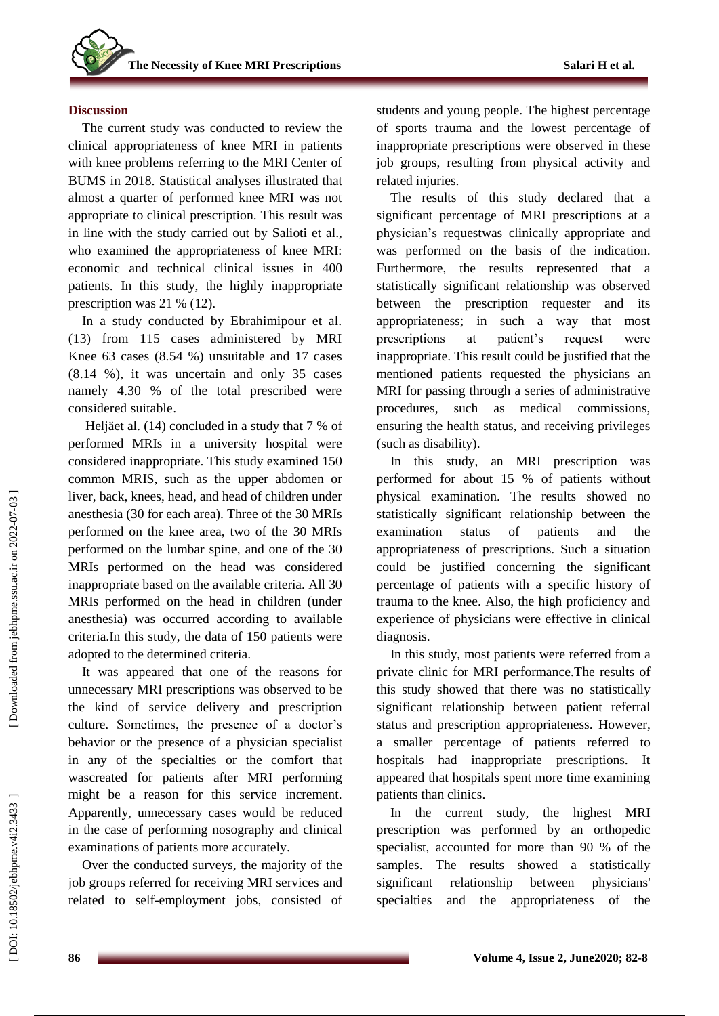#### **Discussion**

The current study was conducted to review the clinical appropriateness of knee MRI in patients with knee problems referring to the MRI Center of BUMS in 2018. Statistical analyses illustrated that almost a quarter of performed knee MRI was not appropriate to clinical prescription. This result was in line with the study carried out by Salioti et al., who examined the appropriateness of knee MRI: economic and technical clinical issues in 400 patients. In this study, the highly inappropriate prescription was 21 % (12).

In a study conducted by Ebrahimipour et al. (13) from 115 cases administered by MRI Knee 63 cases (8.54 %) unsuitable and 17 cases (8.14 %) , it was uncertain and only 35 cases namely 4.30 % of the total prescribed were considered suitable .

Heljäet al. (14) concluded in a study that 7 % of performed MRIs in a university hospital were considered inappropriate. This study examined 150 common MRIS, such as the upper abdomen or liver, back, knees, head, and head of children under anesthesia (30 for each area). Three of the 30 MRIs performed on the knee area, two of the 30 MRIs performed on the lumbar spine, and one of the 30 MRIs performed on the head was considered inappropriate based on the available criteria. All 30 MRIs performed on the head in children (under anesthesia) was occurred according to available criteria.In this study, the data of 150 patients were adopted to the determined criteria.

It was appeared that one of the reasons for unnecessary MRI prescriptions was observed to be the kind of service delivery and prescription culture. Sometimes, the presence of a doctor's behavior or the presence of a physician specialist in any of the specialties or the comfort that wascreated for patients after MRI performing might be a reason for this service increment. Apparently, unnecessary cases would be reduced in the case of performing nosography and clinical examinations of patients more accurately.

Over the conducted surveys, the majority of the job groups referred for receiving MRI services and related to self -employment jobs, consisted of students and young people. The highest percentage of sports trauma and the lowest percentage of inappropriate prescriptions were observed in these job groups, resulting from physical activity and related injuries.

The results of this study declared that a significant percentage of MRI prescriptions at a physician's requestwas clinically appropriate and was performed on the basis of the indication. Furthermore, the results represented that a statistically significant relationship was observed between the prescription requester and its appropriateness; in such a way that most prescriptions at patient's request were inappropriate. This result could be justified that the mentioned patients requested the physicians an MRI for passing through a series of administrative procedures, such as medical commissions, ensuring the health status, and receiving privileges (such as disability).

In this study, an MRI prescription was performed for about 15 % of patients without physical examination. The results showed no statistically significant relationship between the examination status of patients and the appropriateness of prescriptions. Such a situation could be justified concerning the significant percentage of patients with a specific history of trauma to the knee. Also, the high proficiency and experience of physicians were effective in clinical diagnosis .

In this study, most patients were referred from a private clinic for MRI performance.The results of this study showed that there was no statistically significant relationship between patient referral status and prescription appropriateness. However, a smaller percentage of patients referred to hospitals had inappropriate prescriptions. It appeared that hospitals spent more time examining patients than clinics .

In the current study, the highest MRI prescription was performed by an orthopedic specialist, accounted for more than 90 % of the samples. The results showed a statistically significant relationship between physicians' specialties and the appropriateness of the

DOI: 10.18502/jebhpne.v4i2.3433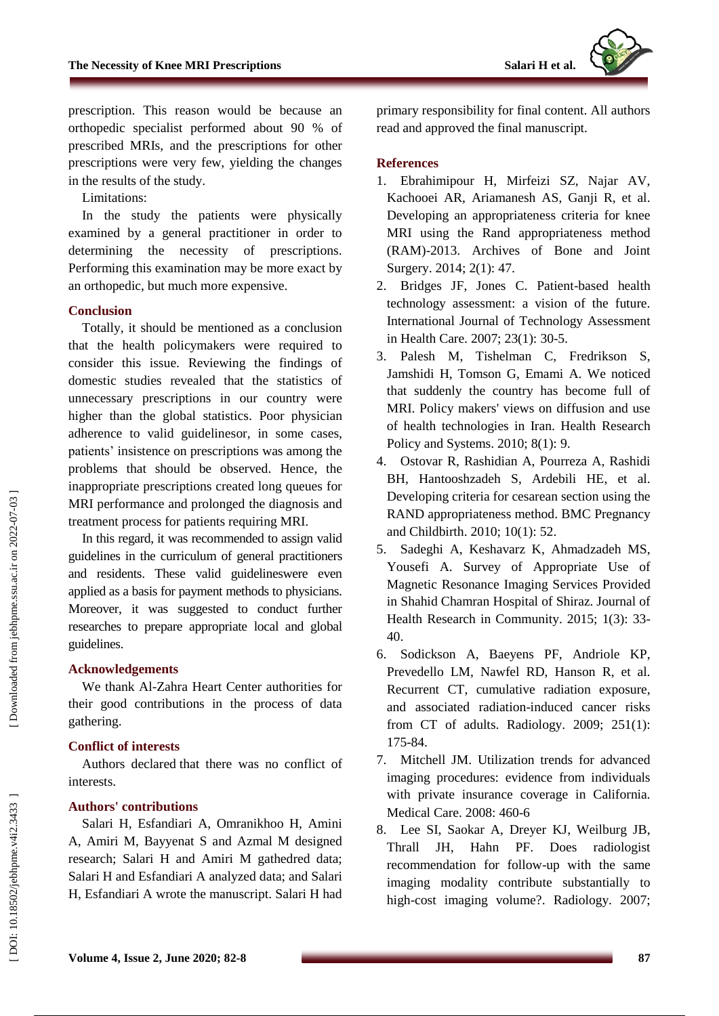prescription. This reason would be because an orthopedic specialist performed about 90 % of prescribed MRIs, and the prescriptions for other prescriptions were very few, yielding the changes in the results of the study.

Limitations:

In the study the patients were physically examined by a general practitioner in order to determining the necessity of prescriptions. Performing this examination may be more exact by an orthopedic, but much more expensive.

## **Conclusion**

Totally, it should be mentioned as a conclusion that the health policymakers were required to consider this issue. Reviewing the findings of domestic studies revealed that the statistics of unnecessary prescriptions in our country were higher than the global statistics. Poor physician adherence to valid guidelinesor, in some cases, patients' insistence on prescriptions was among the problems that should be observed. Hence, the inappropriate prescriptions created long queues for MRI performance and prolonged the diagnosis and treatment process for patients requiring MRI.

In this regard, it was recommended to assign valid guidelines in the curriculum of general practitioners and residents. These valid guidelineswere even applied as a basis for payment methods to physicians. Moreover, it was suggested to conduct further researches to prepare appropriate local and global guidelines.

## **Acknowledgements**

We thank Al -Zahra Heart Center authorities for their good contributions in the process of data gathering.

## **Conflict of interests**

Authors declare d that there was no conflict of interest s .

## **Authors' contributions**

Salari H, Esfandiari A, Omranikhoo H, Amini A, Amiri M, Bayyenat S and Azmal M designed research; Salari H and Amiri M gathedred data; Salari H and Esfandiari A analyzed data; and Salari H, Esfandiari A wrote the manuscript. Salari H had primary responsibility for final content. All authors read and approved the final manuscript.

#### **References**

- 1. Ebrahimipour H, Mirfeizi SZ, Najar AV, Kachooei AR, Ariamanesh AS, Ganji R, et al. Developing an appropriateness criteria for knee MRI using the Rand appropriateness method (RAM) -2013. Archives of Bone and Joint Surgery. 2014; 2(1): 47 .
- 2 . Bridges JF, Jones C. Patient -based health technology assessment: a vision of the future. International Journal of Technology Assessment in Health Care. 2007; 23(1): 30 - 5 .
- 3 . Palesh M, Tishelman C, Fredrikson S, Jamshidi H, Tomson G, Emami A. We noticed that suddenly the country has become full of MRI. Policy makers' views on diffusion and use of health technologies in Iran. Health Research Policy and Systems. 2010; 8(1): 9.
- 4 . Ostovar R, Rashidian A, Pourreza A, Rashidi BH, Hantooshzadeh S, Ardebili HE, et al. Developing criteria for cesarean section using the RAND appropriateness method. BMC Pregnancy and Childbirth. 2010; 10(1): 52 .
- 5 . Sadeghi A, Keshavarz K, Ahmadzadeh MS, Yousefi A. Survey of Appropriate Use of Magnetic Resonance Imaging Services Provided in Shahid Chamran Hospital of Shiraz. Journal of Health Research in Community. 2015; 1(3): 33-40 .
- 6 . Sodickson A, Baeyens PF, Andriole KP, Prevedello LM, Nawfel RD, Hanson R, et al. Recurrent CT, cumulative radiation exposure, and associated radiation -induced cancer risks from CT of adults. Radiology. 2009; 251(1): 175 -84 .
- 7 . Mitchell JM. Utilization trends for advanced imaging procedures: evidence from individuals with private insurance coverage in California. Medical Care. 2008: 460 - 6
- 8 . Lee SI, Saokar A, Dreyer KJ, Weilburg JB, Thrall JH, Hahn PF. Does radiologist recommendation for follow -up with the same imaging modality contribute substantially to high -cost imaging volume? . Radiology. 2007;